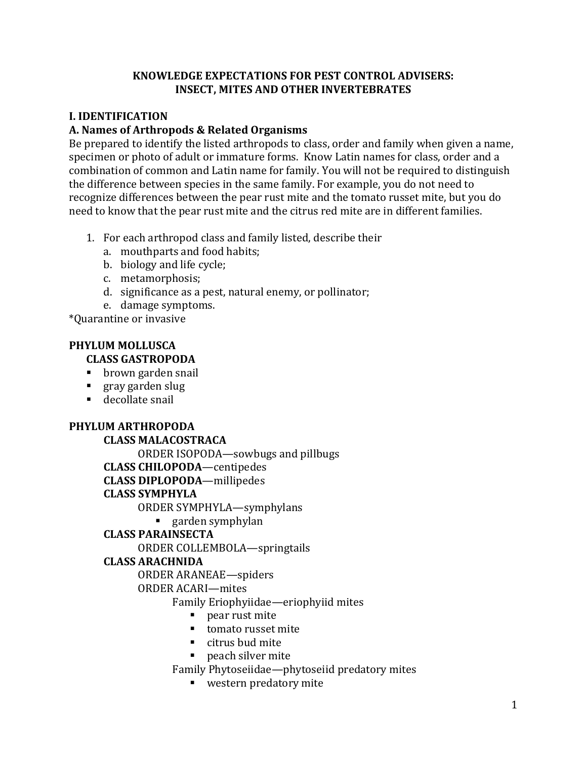### **KNOWLEDGE EXPECTATIONS FOR PEST CONTROL ADVISERS: INSECT, MITES AND OTHER INVERTEBRATES**

# **I. IDENTIFICATION**

### **A. Names of Arthropods & Related Organisms**

Be prepared to identify the listed arthropods to class, order and family when given a name, specimen or photo of adult or immature forms. Know Latin names for class, order and a combination of common and Latin name for family. You will not be required to distinguish the difference between species in the same family. For example, you do not need to recognize differences between the pear rust mite and the tomato russet mite, but you do need to know that the pear rust mite and the citrus red mite are in different families.

- 1. For each arthropod class and family listed, describe their
	- a. mouthparts and food habits;
	- b. biology and life cycle;
	- c. metamorphosis;
	- d. significance as a pest, natural enemy, or pollinator;
	- e. damage symptoms.

\*Quarantine or invasive

# **PHYLUM MOLLUSCA**

# **CLASS GASTROPODA**

- $\mathbf{E}^{\text{max}}$ brown garden snail
- . gray garden slug
- decollate snail

### **PHYLUM ARTHROPODA**

#### **CLASS MALACOSTRACA**

ORDER ISOPODA—sowbugs and pillbugs

**CLASS CHILOPODA**—centipedes

**CLASS DIPLOPODA**—millipedes

### **CLASS SYMPHYLA**

ORDER SYMPHYLA—symphylans

# ■ garden symphylan

### **CLASS PARAINSECTA**

ORDER COLLEMBOLA—springtails

### **CLASS ARACHNIDA**

ORDER ARANEAE—spiders

### ORDER ACARI—mites

Family Eriophyiidae—eriophyiid mites

- pear rust mite
- **tomato russet mite**
- citrus bud mite
- peach silver mite

Family Phytoseiidae—phytoseiid predatory mites

**western predatory mite**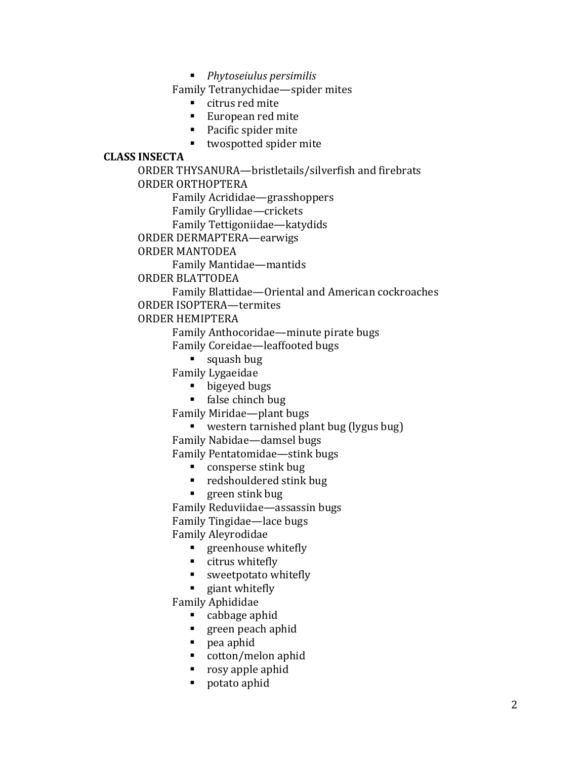*Phytoseiulus persimilis* 

Family Tetranychidae—spider mites

- citrus red mite
- European red mite
- **Pacific spider mite**
- twospotted spider mite

#### **CLASS INSECTA**

ORDER THYSANURA—bristletails/silverfish and firebrats ORDER ORTHOPTERA

Family Acrididae—grasshoppers

Family Gryllidae—crickets

Family Tettigoniidae—katydids

ORDER DERMAPTERA—earwigs

#### ORDER MANTODEA

Family Mantidae—mantids

ORDER BLATTODEA

Family Blattidae—Oriental and American cockroaches

ORDER ISOPTERA—termites

### ORDER HEMIPTERA

Family Anthocoridae—minute pirate bugs

- Family Coreidae—leaffooted bugs
	- squash bug

Family Lygaeidae

- bigeyed bugs
- false chinch bug

Family Miridae—plant bugs

western tarnished plant bug (lygus bug)

Family Nabidae—damsel bugs

Family Pentatomidae—stink bugs

- consperse stink bug
- redshouldered stink bug
- green stink bug

Family Reduviidae—assassin bugs

Family Tingidae—lace bugs

#### Family Aleyrodidae

- **g** greenhouse whitefly
- citrus whitefly
- **sweetpotato whitefly**
- giant whitefly

Family Aphididae

- cabbage aphid
- **green peach aphid**
- pea aphid
- cotton/melon aphid
- rosy apple aphid
- potato aphid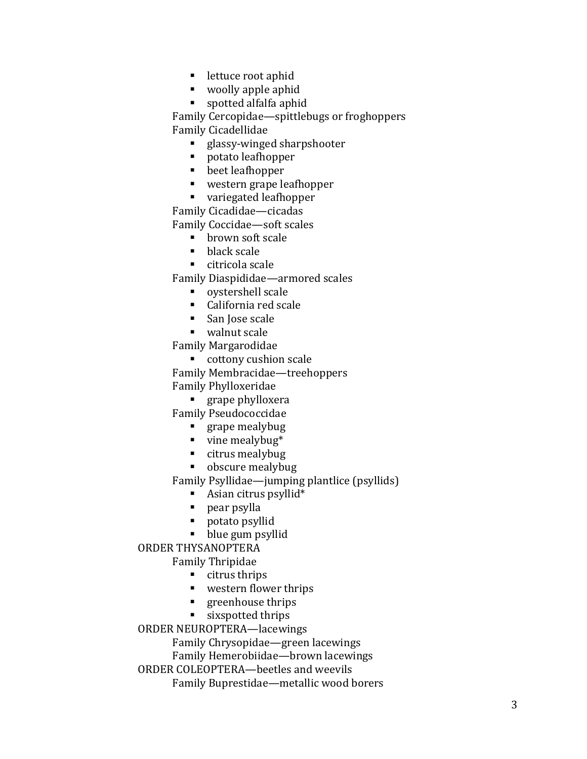- **lettuce root aphid**
- woolly apple aphid
- **spotted alfalfa aphid**

■■■ A.A.■■■■ A.A.■■■ A.■■■■ A.■ A.A.■■■■■ A.■■■■■ A.A.■■■■■ Family Cercopidae —spittlebugs or froghoppers Family Cicadellidae

- **glassy-winged sharpshooter**
- potato leafhopper
- beet leafhopper
- western grape leafhopper
- variegated leafhopper

Family Cicadidae —cicadas

Family Coccidae —soft scales

- **brown soft scale**
- $\blacksquare$  black scale
- citricola scale

Family Diaspididae —armored scales

- oystershell scale
- California red scale
- San Jose scale
- walnut scale

Family Margarodidae

**cottony cushion scale** 

Family Membracidae —treehoppers Family Phylloxeridae

**grape phylloxera** 

Family Pseudococcidae

- **grape mealybug**
- $\blacksquare$  vine mealybug\*
- citrus mealybug
- obscure mealybug

Family Psyllidae —jumping plantlice (psyllids)

- Asian citrus psyllid \*
- **pear psylla**
- potato psyllid
- **blue gum psyllid**

### ORDER THYSANOPTERA

Family Thripidae

- citrus thrips
- western flower thrips
- **greenhouse thrips**
- sixspotted thrips

ORDER NEUROPTERA —lacewings

Family Chrysopidae —green lacewings

Family Hemerobiidae —brown lacewings

ORDER COLEOPTERA —beetles and weevils

Family Buprestidae —metallic wood borers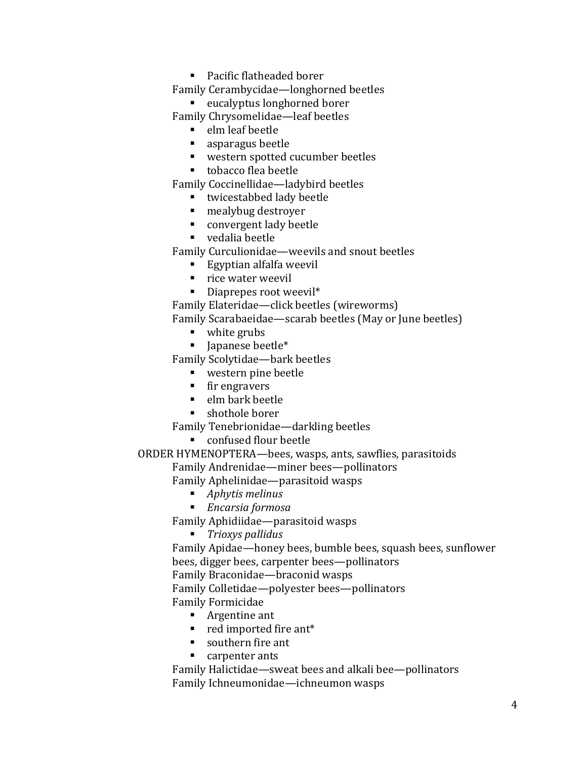■ Pacific flatheaded borer

Family Cerambycidae—longhorned beetles

**EXECO EXECO FOR EXECO FIGURAL** 

Family Chrysomelidae—leaf beetles

- elm leaf beetle
- asparagus beetle
- western spotted cucumber beetles
- tobacco flea beetle

Family Coccinellidae—ladybird beetles

- twicestabbed lady beetle
- mealybug destroyer
- convergent lady beetle
- vedalia beetle

Family Curculionidae—weevils and snout beetles

- Egyptian alfalfa weevil
- $\blacksquare$  rice water weevil
- **Diaprepes root weevil\***

Family Elateridae—click beetles (wireworms)

Family Scarabaeidae—scarab beetles (May or June beetles)

- white grubs
- Japanese beetle\*

Family Scolytidae—bark beetles

- western pine beetle
- **fir engravers**
- elm bark beetle
- shothole borer

Family Tenebrionidae—darkling beetles

■ confused flour beetle

ORDER HYMENOPTERA—bees, wasps, ants, sawflies, parasitoids

Family Andrenidae—miner bees—pollinators

Family Aphelinidae—parasitoid wasps

- *Aphytis melinus*
- *Encarsia formosa*

Family Aphidiidae—parasitoid wasps

*Trioxys pallidus* 

Family Apidae—honey bees, bumble bees, squash bees, sunflower bees, digger bees, carpenter bees—pollinators

Family Braconidae—braconid wasps

Family Colletidae—polyester bees—pollinators

- Family Formicidae
	- **Argentine ant**
	- **r** red imported fire ant\*
	- southern fire ant
	- **carpenter ants**

Family Halictidae—sweat bees and alkali bee—pollinators Family Ichneumonidae—ichneumon wasps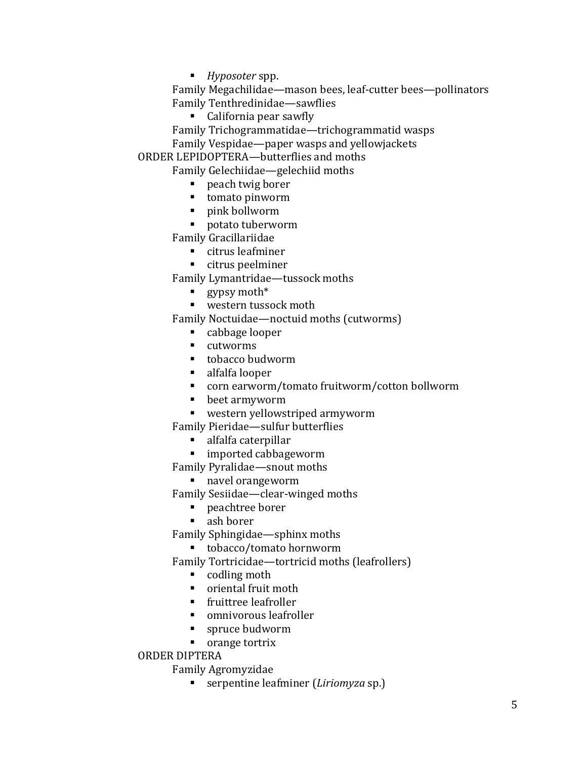*Hyposoter* spp.

Family Megachilidae—mason bees, leaf-cutter bees—pollinators Family Tenthredinidae—sawflies

- California pear sawfly
- Family Trichogrammatidae—trichogrammatid wasps

Family Vespidae—paper wasps and yellowjackets

ORDER LEPIDOPTERA—butterflies and moths

Family Gelechiidae—gelechiid moths

- peach twig borer
- tomato pinworm
- pink bollworm
- potato tuberworm

Family Gracillariidae

- citrus leafminer
- citrus peelminer

Family Lymantridae—tussock moths

- gypsy moth\*
- western tussock moth

Family Noctuidae—noctuid moths (cutworms)

- cabbage looper
- cutworms
- tobacco budworm
- alfalfa looper
- corn earworm/tomato fruitworm/cotton bollworm
- beet armyworm
- western yellowstriped armyworm

Family Pieridae—sulfur butterflies

- alfalfa caterpillar
- imported cabbageworm

Family Pyralidae—snout moths

navel orangeworm

Family Sesiidae—clear-winged moths

- peachtree borer
- ash borer

Family Sphingidae—sphinx moths

■ tobacco/tomato hornworm

Family Tortricidae—tortricid moths (leafrollers)

- codling moth
- oriental fruit moth
- fruittree leafroller
- omnivorous leafroller
- spruce budworm
- orange tortrix

### ORDER DIPTERA

Family Agromyzidae

serpentine leafminer (*Liriomyza* sp.)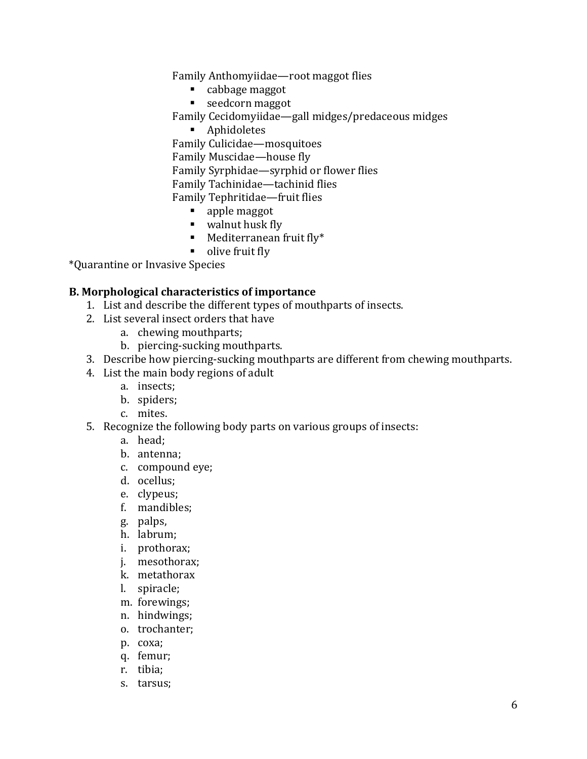Family Anthomyiidae—root maggot flies

- cabbage maggot
- seedcorn maggot

Family Cecidomyiidae—gall midges/predaceous midges

Aphidoletes

Family Culicidae—mosquitoes Family Muscidae—house fly Family Syrphidae—syrphid or flower flies Family Tachinidae—tachinid flies Family Tephritidae—fruit flies

- apple maggot
- walnut husk fly
- **Mediterranean fruit fly\***
- olive fruit fly

\*Quarantine or Invasive Species

### **B. Morphological characteristics of importance**

- 1. List and describe the different types of mouthparts of insects.
- 2. List several insect orders that have
	- a. chewing mouthparts;
	- b. piercing-sucking mouthparts.
- 3. Describe how piercing-sucking mouthparts are different from chewing mouthparts.
- 4. List the main body regions of adult
	- a. insects;
	- b. spiders;
	- c. mites.
- 5. Recognize the following body parts on various groups of insects:
	- a. head;
	- b. antenna;
	- c. compound eye;
	- d. ocellus;
	- e. clypeus;
	- f. mandibles;
	- g. palps,
	- h. labrum;
	- i. prothorax;
	- j. mesothorax;
	- k. metathorax
	- l. spiracle;
	- m. forewings;
	- n. hindwings;
	- o. trochanter;
	- p. coxa;
	- q. femur;
	- r. tibia;
	- s. tarsus;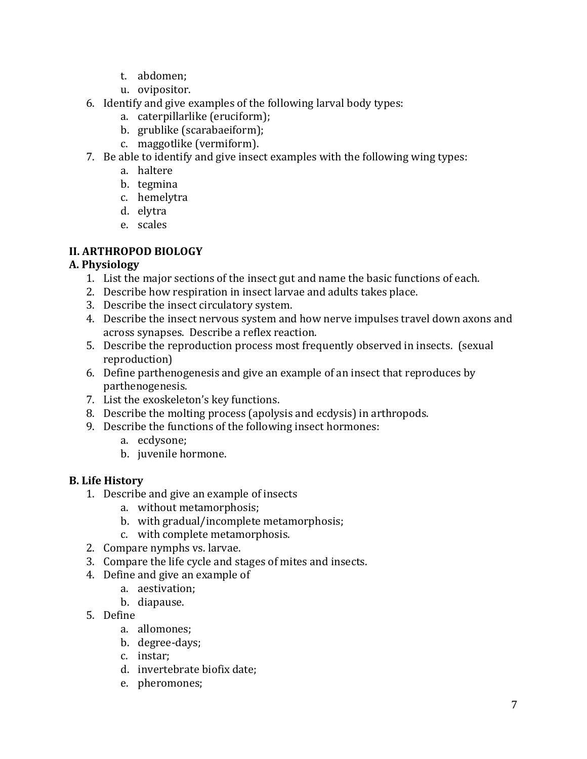- t. abdomen;
- u. ovipositor.
- 6. Identify and give examples of the following larval body types:
	- a. caterpillarlike (eruciform);
	- b. grublike (scarabaeiform);
	- c. maggotlike (vermiform).
- 7. Be able to identify and give insect examples with the following wing types:
	- a. haltere
	- b. tegmina
	- c. hemelytra
	- d. elytra
	- e. scales

# **II. ARTHROPOD BIOLOGY**

# **A. Physiology**

- 1. List the major sections of the insect gut and name the basic functions of each.
- 2. Describe how respiration in insect larvae and adults takes place.
- 3. Describe the insect circulatory system.
- 4. Describe the insect nervous system and how nerve impulses travel down axons and across synapses. Describe a reflex reaction.
- 5. Describe the reproduction process most frequently observed in insects. (sexual reproduction)
- 6. Define parthenogenesis and give an example of an insect that reproduces by parthenogenesis.
- 7. List the exoskeleton's key functions.
- 8. Describe the molting process (apolysis and ecdysis) in arthropods.
- 9. Describe the functions of the following insect hormones:
	- a. ecdysone;
	- b. juvenile hormone.

# **B. Life History**

- 1. Describe and give an example of insects
	- a. without metamorphosis;
	- b. with gradual/incomplete metamorphosis;
	- c. with complete metamorphosis.
- 2. Compare nymphs vs. larvae.
- 3. Compare the life cycle and stages of mites and insects.
- 4. Define and give an example of
	- a. aestivation;
	- b. diapause.
- 5. Define
	- a. allomones;
	- b. degree-days;
	- c. instar;
	- d. invertebrate biofix date;
	- e. pheromones;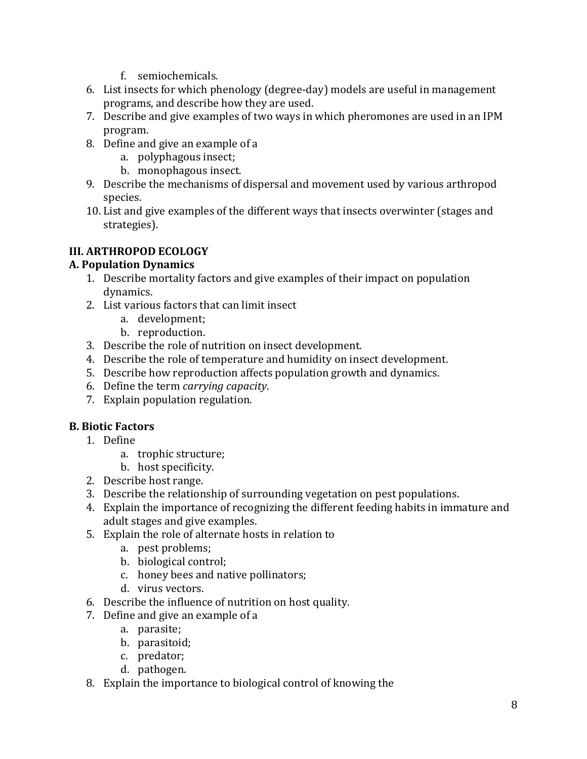- f. semiochemicals.
- 6. List insects for which phenology (degree-day) models are useful in management programs, and describe how they are used.
- 7. Describe and give examples of two ways in which pheromones are used in an IPM program.
- 8. Define and give an example of a
	- a. polyphagous insect;
	- b. monophagous insect.
- 9. Describe the mechanisms of dispersal and movement used by various arthropod species.
- 10. List and give examples of the different ways that insects overwinter (stages and strategies).

# **III. ARTHROPOD ECOLOGY**

# **A. Population Dynamics**

- 1. Describe mortality factors and give examples of their impact on population dynamics.
- 2. List various factors that can limit insect
	- a. development;
	- b. reproduction.
- 3. Describe the role of nutrition on insect development.
- 4. Describe the role of temperature and humidity on insect development.
- 5. Describe how reproduction affects population growth and dynamics.
- 6. Define the term *carrying capacity*.
- 7. Explain population regulation.

# **B. Biotic Factors**

- 1. Define
	- a. trophic structure;
	- b. host specificity.
- 2. Describe host range.
- 3. Describe the relationship of surrounding vegetation on pest populations.
- 4. Explain the importance of recognizing the different feeding habits in immature and adult stages and give examples.
- 5. Explain the role of alternate hosts in relation to
	- a. pest problems;
	- b. biological control;
	- c. honey bees and native pollinators;
	- d. virus vectors.
- 6. Describe the influence of nutrition on host quality.
- 7. Define and give an example of a
	- a. parasite;
	- b. parasitoid;
	- c. predator;
	- d. pathogen.
- 8. Explain the importance to biological control of knowing the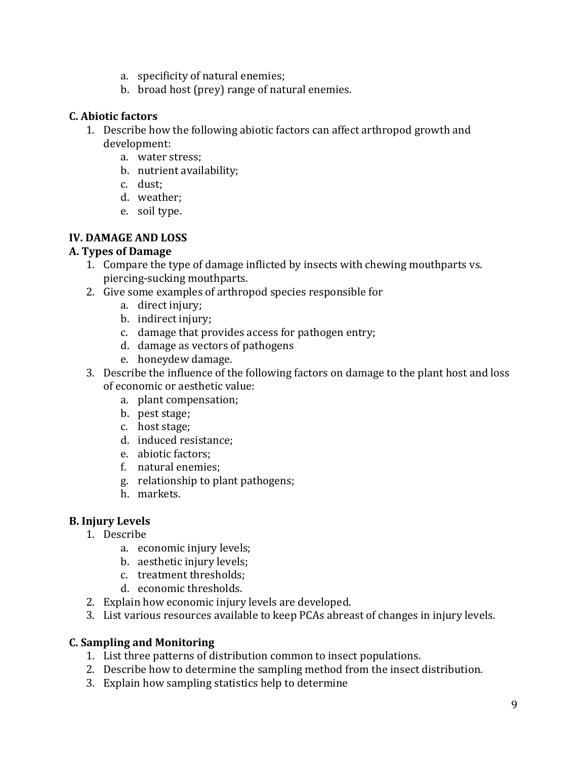- a. specificity of natural enemies;
- b. broad host (prey) range of natural enemies.

### **C. Abiotic factors**

- 1. Describe how the following abiotic factors can affect arthropod growth and development:
	- a. water stress;
	- b. nutrient availability;
	- c. dust;
	- d. weather;
	- e. soil type.

# **IV. DAMAGE AND LOSS**

### **A. Types of Damage**

- 1. Compare the type of damage inflicted by insects with chewing mouthparts vs. piercing-sucking mouthparts.
- 2. Give some examples of arthropod species responsible for
	- a. direct injury;
	- b. indirect injury;
	- c. damage that provides access for pathogen entry;
	- d. damage as vectors of pathogens
	- e. honeydew damage.
- 3. Describe the influence of the following factors on damage to the plant host and loss of economic or aesthetic value:
	- a. plant compensation;
	- b. pest stage;
	- c. host stage;
	- d. induced resistance;
	- e. abiotic factors;
	- f. natural enemies;
	- g. relationship to plant pathogens;
	- h. markets.

# **B. Injury Levels**

- 1. Describe
	- a. economic injury levels;
	- b. aesthetic injury levels;
	- c. treatment thresholds;
	- d. economic thresholds.
- 2. Explain how economic injury levels are developed.
- 3. List various resources available to keep PCAs abreast of changes in injury levels.

# **C. Sampling and Monitoring**

- 1. List three patterns of distribution common to insect populations.
- 2. Describe how to determine the sampling method from the insect distribution.
- 3. Explain how sampling statistics help to determine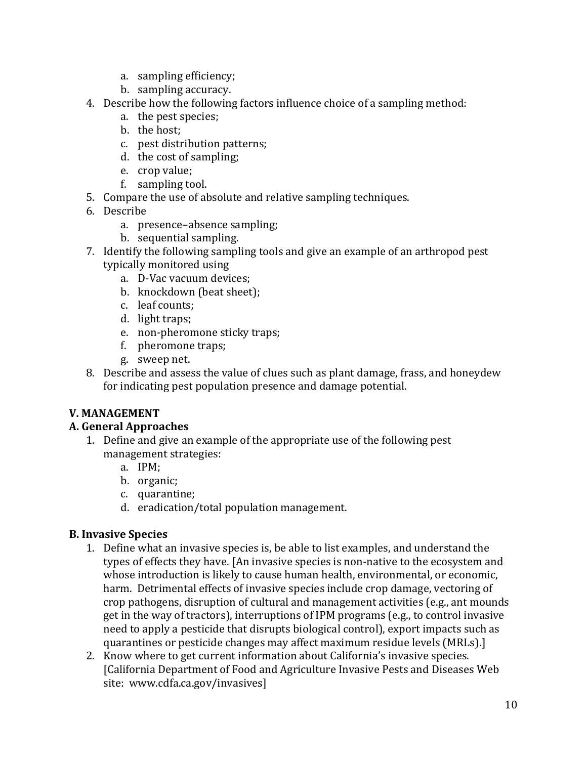- a. sampling efficiency;
- b. sampling accuracy.
- 4. Describe how the following factors influence choice of a sampling method:
	- a. the pest species;
	- b. the host;
	- c. pest distribution patterns;
	- d. the cost of sampling;
	- e. crop value;
	- f. sampling tool.
- 5. Compare the use of absolute and relative sampling techniques.
- 6. Describe
	- a. presence–absence sampling;
	- b. sequential sampling.
- 7. Identify the following sampling tools and give an example of an arthropod pest typically monitored using
	- a. D-Vac vacuum devices;
	- b. knockdown (beat sheet);
	- c. leaf counts;
	- d. light traps;
	- e. non-pheromone sticky traps;
	- f. pheromone traps;
	- g. sweep net.
- 8. Describe and assess the value of clues such as plant damage, frass, and honeydew for indicating pest population presence and damage potential.

# **V. MANAGEMENT**

# **A. General Approaches**

- 1. Define and give an example of the appropriate use of the following pest management strategies:
	- a. IPM;
	- b. organic;
	- c. quarantine;
	- d. eradication/total population management.

# **B. Invasive Species**

- 1. Define what an invasive species is, be able to list examples, and understand the types of effects they have. [An invasive species is non-native to the ecosystem and whose introduction is likely to cause human health, environmental, or economic, harm. Detrimental effects of invasive species include crop damage, vectoring of crop pathogens, disruption of cultural and management activities (e.g., ant mounds get in the way of tractors), interruptions of IPM programs (e.g., to control invasive need to apply a pesticide that disrupts biological control), export impacts such as quarantines or pesticide changes may affect maximum residue levels (MRLs).]
- 2. Know where to get current information about California's invasive species. [California Department of Food and Agriculture Invasive Pests and Diseases Web site: [www.cdfa.ca.gov/invasives\]](www.cdfa.ca.gov/invasives)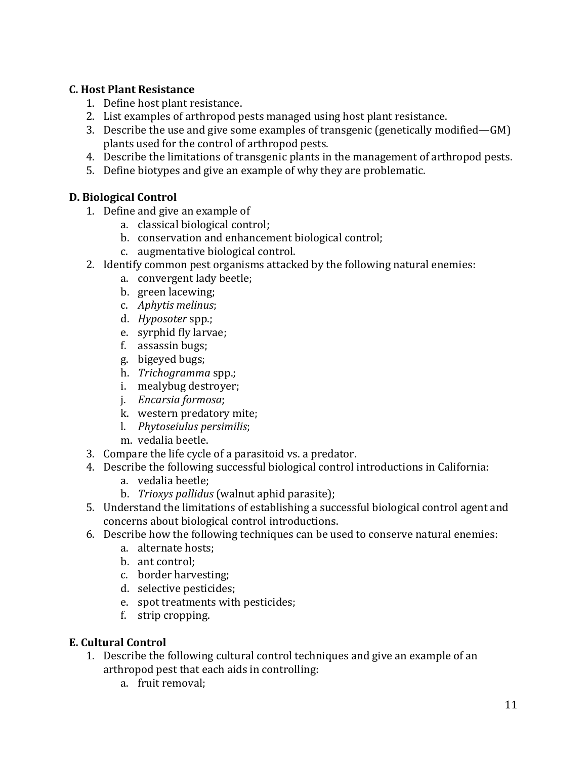# **C. Host Plant Resistance**

- 1. Define host plant resistance.
- 2. List examples of arthropod pests managed using host plant resistance.
- 3. Describe the use and give some examples of transgenic (genetically modified—GM) plants used for the control of arthropod pests.
- 4. Describe the limitations of transgenic plants in the management of arthropod pests.
- 5. Define biotypes and give an example of why they are problematic.

# **D. Biological Control**

- 1. Define and give an example of
	- a. classical biological control;
	- b. conservation and enhancement biological control;
	- c. augmentative biological control.
- 2. Identify common pest organisms attacked by the following natural enemies:
	- a. convergent lady beetle;
	- b. green lacewing;
	- c. *Aphytis melinus*;
	- d. *Hyposoter* spp.;
	- e. syrphid fly larvae;
	- f. assassin bugs;
	- g. bigeyed bugs;
	- h. *Trichogramma* spp.;
	- i. mealybug destroyer;
	- j. *Encarsia formosa*;
	- k. western predatory mite;
	- l. *Phytoseiulus persimilis*;
	- m. vedalia beetle.
- 3. Compare the life cycle of a parasitoid vs. a predator.
- 4. Describe the following successful biological control introductions in California:
	- a. vedalia beetle;
	- b. *Trioxys pallidus* (walnut aphid parasite);
- 5. Understand the limitations of establishing a successful biological control agent and concerns about biological control introductions.
- 6. Describe how the following techniques can be used to conserve natural enemies:
	- a. alternate hosts;
	- b. ant control;
	- c. border harvesting;
	- d. selective pesticides;
	- e. spot treatments with pesticides;
	- f. strip cropping.

# **E. Cultural Control**

- 1. Describe the following cultural control techniques and give an example of an arthropod pest that each aids in controlling:
	- a. fruit removal;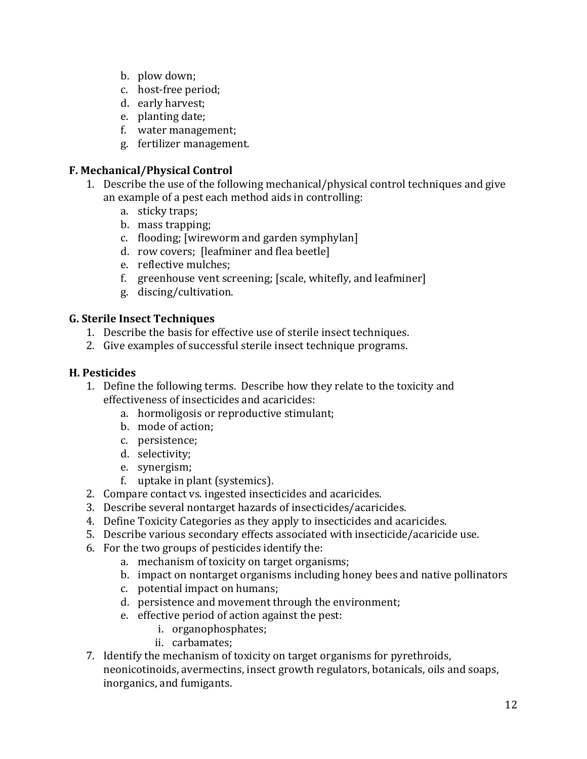- b. plow down;
- c. host-free period;
- d. early harvest;
- e. planting date;
- f. water management;
- g. fertilizer management.

### **F. Mechanical/Physical Control**

- 1. Describe the use of the following mechanical/physical control techniques and give an example of a pest each method aids in controlling:
	- a. sticky traps;
	- b. mass trapping;
	- c. flooding; [wireworm and garden symphylan]
	- d. row covers; [leafminer and flea beetle]
	- e. reflective mulches;
	- f. greenhouse vent screening; [scale, whitefly, and leafminer]
	- g. discing/cultivation.

### **G. Sterile Insect Techniques**

- 1. Describe the basis for effective use of sterile insect techniques.
- 2. Give examples of successful sterile insect technique programs.

### **H. Pesticides**

- 1. Define the following terms. Describe how they relate to the toxicity and effectiveness of insecticides and acaricides:
	- a. hormoligosis or reproductive stimulant;
	- b. mode of action;
	- c. persistence;
	- d. selectivity;
	- e. synergism;
	- f. uptake in plant (systemics).
- 2. Compare contact vs. ingested insecticides and acaricides.
- 3. Describe several nontarget hazards of insecticides/acaricides.
- 4. Define Toxicity Categories as they apply to insecticides and acaricides.
- 5. Describe various secondary effects associated with insecticide/acaricide use.
- 6. For the two groups of pesticides identify the:
	- a. mechanism of toxicity on target organisms;
	- b. impact on nontarget organisms including honey bees and native pollinators
	- c. potential impact on humans;
	- d. persistence and movement through the environment;
	- e. effective period of action against the pest:
		- i. organophosphates;
		- ii. carbamates;
- 7. Identify the mechanism of toxicity on target organisms for pyrethroids, neonicotinoids, avermectins, insect growth regulators, botanicals, oils and soaps, inorganics, and fumigants.